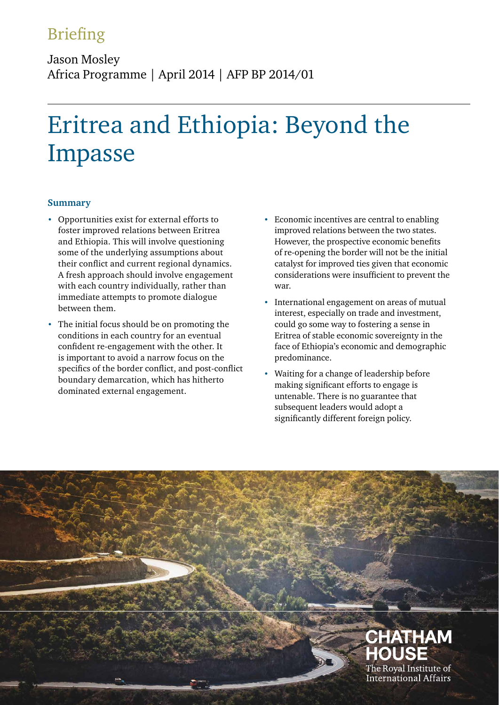# Briefing

Jason Mosley Africa Programme | April 2014 | AFP BP 2014/01

# Eritrea and Ethiopia: Beyond the Impasse

# **Summary**

- **•** Opportunities exist for external efforts to foster improved relations between Eritrea and Ethiopia. This will involve questioning some of the underlying assumptions about their conflict and current regional dynamics. A fresh approach should involve engagement with each country individually, rather than immediate attempts to promote dialogue between them.
- **•** The initial focus should be on promoting the conditions in each country for an eventual confident re-engagement with the other. It is important to avoid a narrow focus on the specifics of the border conflict, and post-conflict boundary demarcation, which has hitherto dominated external engagement.
- **•** Economic incentives are central to enabling improved relations between the two states. However, the prospective economic benefits of re-opening the border will not be the initial catalyst for improved ties given that economic considerations were insufficient to prevent the war.
- **•** International engagement on areas of mutual interest, especially on trade and investment, could go some way to fostering a sense in Eritrea of stable economic sovereignty in the face of Ethiopia's economic and demographic predominance.
- **•** Waiting for a change of leadership before making significant efforts to engage is untenable. There is no guarantee that subsequent leaders would adopt a significantly different foreign policy.

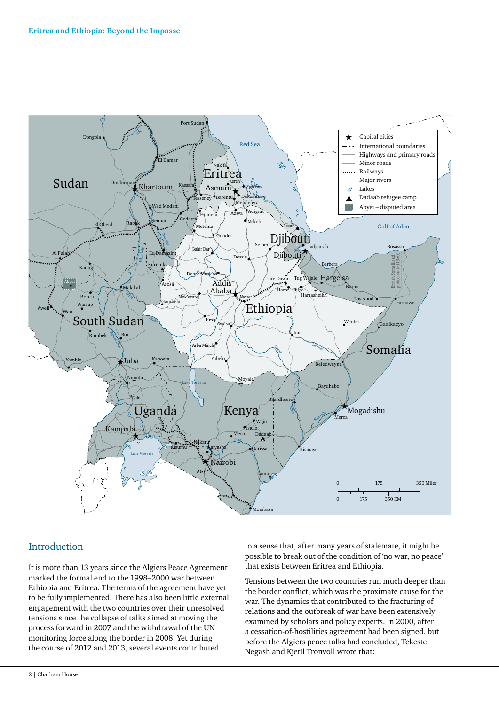

# Introduction

It is more than 13 years since the Algiers Peace Agreement marked the formal end to the 1998–2000 war between Ethiopia and Eritrea. The terms of the agreement have yet to be fully implemented. There has also been little external engagement with the two countries over their unresolved tensions since the collapse of talks aimed at moving the process forward in 2007 and the withdrawal of the UN monitoring force along the border in 2008. Yet during the course of 2012 and 2013, several events contributed

to a sense that, after many years of stalemate, it might be possible to break out of the condition of 'no war, no peace' that exists between Eritrea and Ethiopia.

Tensions between the two countries run much deeper than the border conflict, which was the proximate cause for the war. The dynamics that contributed to the fracturing of relations and the outbreak of war have been extensively examined by scholars and policy experts. In 2000, after a cessation-of-hostilities agreement had been signed, but before the Algiers peace talks had concluded, Tekeste Negash and Kjetil Tronvoll wrote that: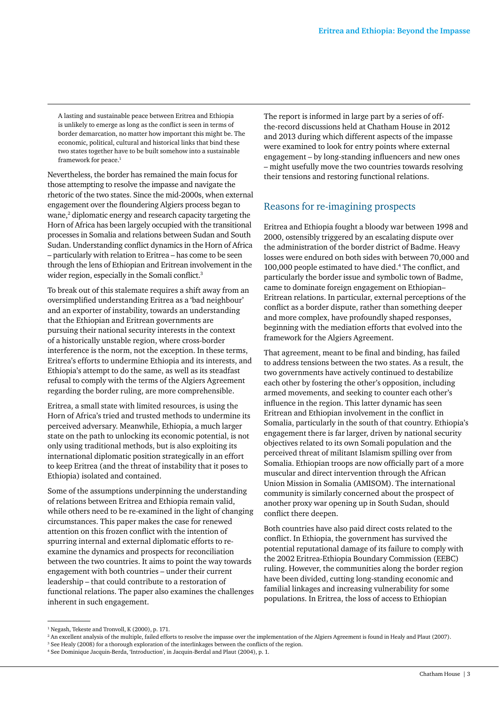A lasting and sustainable peace between Eritrea and Ethiopia is unlikely to emerge as long as the conflict is seen in terms of border demarcation, no matter how important this might be. The economic, political, cultural and historical links that bind these two states together have to be built somehow into a sustainable framework for peace.<sup>1</sup>

Nevertheless, the border has remained the main focus for those attempting to resolve the impasse and navigate the rhetoric of the two states. Since the mid-2000s, when external engagement over the floundering Algiers process began to wane,<sup>2</sup> diplomatic energy and research capacity targeting the Horn of Africa has been largely occupied with the transitional processes in Somalia and relations between Sudan and South Sudan. Understanding conflict dynamics in the Horn of Africa – particularly with relation to Eritrea – has come to be seen through the lens of Ethiopian and Eritrean involvement in the wider region, especially in the Somali conflict.<sup>3</sup>

To break out of this stalemate requires a shift away from an oversimplified understanding Eritrea as a 'bad neighbour' and an exporter of instability, towards an understanding that the Ethiopian and Eritrean governments are pursuing their national security interests in the context of a historically unstable region, where cross-border interference is the norm, not the exception. In these terms, Eritrea's efforts to undermine Ethiopia and its interests, and Ethiopia's attempt to do the same, as well as its steadfast refusal to comply with the terms of the Algiers Agreement regarding the border ruling, are more comprehensible.

Eritrea, a small state with limited resources, is using the Horn of Africa's tried and trusted methods to undermine its perceived adversary. Meanwhile, Ethiopia, a much larger state on the path to unlocking its economic potential, is not only using traditional methods, but is also exploiting its international diplomatic position strategically in an effort to keep Eritrea (and the threat of instability that it poses to Ethiopia) isolated and contained.

Some of the assumptions underpinning the understanding of relations between Eritrea and Ethiopia remain valid, while others need to be re-examined in the light of changing circumstances. This paper makes the case for renewed attention on this frozen conflict with the intention of spurring internal and external diplomatic efforts to reexamine the dynamics and prospects for reconciliation between the two countries. It aims to point the way towards engagement with both countries – under their current leadership – that could contribute to a restoration of functional relations. The paper also examines the challenges inherent in such engagement.

The report is informed in large part by a series of offthe-record discussions held at Chatham House in 2012 and 2013 during which different aspects of the impasse were examined to look for entry points where external engagement – by long-standing influencers and new ones – might usefully move the two countries towards resolving their tensions and restoring functional relations.

# Reasons for re-imagining prospects

Eritrea and Ethiopia fought a bloody war between 1998 and 2000, ostensibly triggered by an escalating dispute over the administration of the border district of Badme. Heavy losses were endured on both sides with between 70,000 and 100,000 people estimated to have died.4 The conflict, and particularly the border issue and symbolic town of Badme, came to dominate foreign engagement on Ethiopian– Eritrean relations. In particular, external perceptions of the conflict as a border dispute, rather than something deeper and more complex, have profoundly shaped responses, beginning with the mediation efforts that evolved into the framework for the Algiers Agreement.

That agreement, meant to be final and binding, has failed to address tensions between the two states. As a result, the two governments have actively continued to destabilize each other by fostering the other's opposition, including armed movements, and seeking to counter each other's influence in the region. This latter dynamic has seen Eritrean and Ethiopian involvement in the conflict in Somalia, particularly in the south of that country. Ethiopia's engagement there is far larger, driven by national security objectives related to its own Somali population and the perceived threat of militant Islamism spilling over from Somalia. Ethiopian troops are now officially part of a more muscular and direct intervention through the African Union Mission in Somalia (AMISOM). The international community is similarly concerned about the prospect of another proxy war opening up in South Sudan, should conflict there deepen.

Both countries have also paid direct costs related to the conflict. In Ethiopia, the government has survived the potential reputational damage of its failure to comply with the 2002 Eritrea-Ethiopia Boundary Commission (EEBC) ruling. However, the communities along the border region have been divided, cutting long-standing economic and familial linkages and increasing vulnerability for some populations. In Eritrea, the loss of access to Ethiopian

<sup>1</sup> Negash, Tekeste and Tronvoll, K (2000), p. 171.

<sup>2</sup> An excellent analysis of the multiple, failed efforts to resolve the impasse over the implementation of the Algiers Agreement is found in Healy and Plaut (2007).

<sup>3</sup> See Healy (2008) for a thorough exploration of the interlinkages between the conflicts of the region.

<sup>4</sup> See Dominique Jacquin-Berda, 'Introduction', in Jacquin-Berdal and Plaut (2004), p. 1.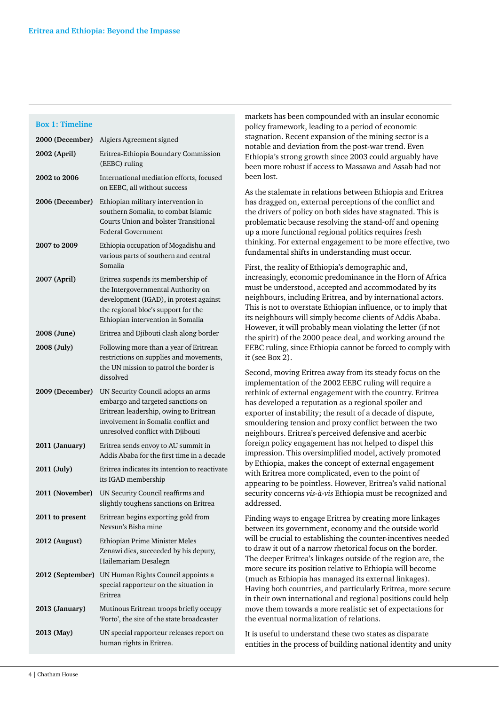#### **Box 1: Timeline**

| 2000 (December)  | Algiers Agreement signed                                                                                                                                                                       |
|------------------|------------------------------------------------------------------------------------------------------------------------------------------------------------------------------------------------|
| 2002 (April)     | Eritrea-Ethiopia Boundary Commission<br>(EEBC) ruling                                                                                                                                          |
| 2002 to 2006     | International mediation efforts, focused<br>on EEBC, all without success                                                                                                                       |
| 2006 (December)  | Ethiopian military intervention in<br>southern Somalia, to combat Islamic<br>Courts Union and bolster Transitional<br><b>Federal Government</b>                                                |
| 2007 to 2009     | Ethiopia occupation of Mogadishu and<br>various parts of southern and central<br>Somalia                                                                                                       |
| 2007 (April)     | Eritrea suspends its membership of<br>the Intergovernmental Authority on<br>development (IGAD), in protest against<br>the regional bloc's support for the<br>Ethiopian intervention in Somalia |
| 2008 (June)      | Eritrea and Djibouti clash along border                                                                                                                                                        |
| 2008 (July)      | Following more than a year of Eritrean<br>restrictions on supplies and movements,<br>the UN mission to patrol the border is<br>dissolved                                                       |
| 2009 (December)  | UN Security Council adopts an arms<br>embargo and targeted sanctions on<br>Eritrean leadership, owing to Eritrean<br>involvement in Somalia conflict and<br>unresolved conflict with Djibouti  |
| 2011 (January)   | Eritrea sends envoy to AU summit in<br>Addis Ababa for the first time in a decade                                                                                                              |
| 2011 (July)      | Eritrea indicates its intention to reactivate<br>its IGAD membership                                                                                                                           |
| 2011 (November)  | UN Security Council reaffirms and<br>slightly toughens sanctions on Eritrea                                                                                                                    |
| 2011 to present  | Eritrean begins exporting gold from<br>Nevsun's Bisha mine                                                                                                                                     |
| 2012 (August)    | Ethiopian Prime Minister Meles<br>Zenawi dies, succeeded by his deputy,<br>Hailemariam Desalegn                                                                                                |
| 2012 (September) | UN Human Rights Council appoints a<br>special rapporteur on the situation in<br>Eritrea                                                                                                        |
| 2013 (January)   | Mutinous Eritrean troops briefly occupy<br>'Forto', the site of the state broadcaster                                                                                                          |
| 2013 (May)       | UN special rapporteur releases report on<br>human rights in Eritrea.                                                                                                                           |

markets has been compounded with an insular economic policy framework, leading to a period of economic stagnation. Recent expansion of the mining sector is a notable and deviation from the post-war trend. Even Ethiopia's strong growth since 2003 could arguably have been more robust if access to Massawa and Assab had not been lost.

As the stalemate in relations between Ethiopia and Eritrea has dragged on, external perceptions of the conflict and the drivers of policy on both sides have stagnated. This is problematic because resolving the stand-off and opening up a more functional regional politics requires fresh thinking. For external engagement to be more effective, two fundamental shifts in understanding must occur.

First, the reality of Ethiopia's demographic and, increasingly, economic predominance in the Horn of Africa must be understood, accepted and accommodated by its neighbours, including Eritrea, and by international actors. This is not to overstate Ethiopian influence, or to imply that its neighbours will simply become clients of Addis Ababa. However, it will probably mean violating the letter (if not the spirit) of the 2000 peace deal, and working around the EEBC ruling, since Ethiopia cannot be forced to comply with it (see Box 2).

Second, moving Eritrea away from its steady focus on the implementation of the 2002 EEBC ruling will require a rethink of external engagement with the country. Eritrea has developed a reputation as a regional spoiler and exporter of instability; the result of a decade of dispute, smouldering tension and proxy conflict between the two neighbours. Eritrea's perceived defensive and acerbic foreign policy engagement has not helped to dispel this impression. This oversimplified model, actively promoted by Ethiopia, makes the concept of external engagement with Eritrea more complicated, even to the point of appearing to be pointless. However, Eritrea's valid national security concerns *vis-à-vis* Ethiopia must be recognized and addressed.

Finding ways to engage Eritrea by creating more linkages between its government, economy and the outside world will be crucial to establishing the counter-incentives needed to draw it out of a narrow rhetorical focus on the border. The deeper Eritrea's linkages outside of the region are, the more secure its position relative to Ethiopia will become (much as Ethiopia has managed its external linkages). Having both countries, and particularly Eritrea, more secure in their own international and regional positions could help move them towards a more realistic set of expectations for the eventual normalization of relations.

It is useful to understand these two states as disparate entities in the process of building national identity and unity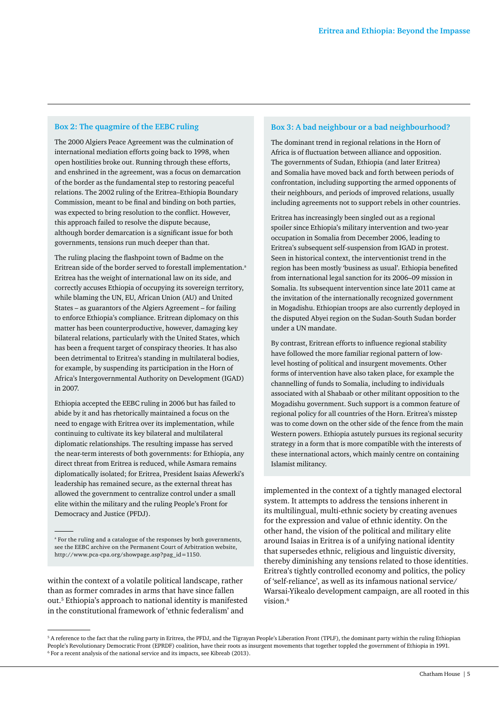#### **Box 2: The quagmire of the EEBC ruling**

The 2000 Algiers Peace Agreement was the culmination of international mediation efforts going back to 1998, when open hostilities broke out. Running through these efforts, and enshrined in the agreement, was a focus on demarcation of the border as the fundamental step to restoring peaceful relations. The 2002 ruling of the Eritrea–Ethiopia Boundary Commission, meant to be final and binding on both parties, was expected to bring resolution to the conflict. However, this approach failed to resolve the dispute because, although border demarcation is a significant issue for both governments, tensions run much deeper than that.

The ruling placing the flashpoint town of Badme on the Eritrean side of the border served to forestall implementation.<sup>a</sup> Eritrea has the weight of international law on its side, and correctly accuses Ethiopia of occupying its sovereign territory, while blaming the UN, EU, African Union (AU) and United States – as guarantors of the Algiers Agreement – for failing to enforce Ethiopia's compliance. Eritrean diplomacy on this matter has been counterproductive, however, damaging key bilateral relations, particularly with the United States, which has been a frequent target of conspiracy theories. It has also been detrimental to Eritrea's standing in multilateral bodies, for example, by suspending its participation in the Horn of Africa's Intergovernmental Authority on Development (IGAD) in 2007.

Ethiopia accepted the EEBC ruling in 2006 but has failed to abide by it and has rhetorically maintained a focus on the need to engage with Eritrea over its implementation, while continuing to cultivate its key bilateral and multilateral diplomatic relationships. The resulting impasse has served the near-term interests of both governments: for Ethiopia, any direct threat from Eritrea is reduced, while Asmara remains diplomatically isolated; for Eritrea, President Isaias Afewerki's leadership has remained secure, as the external threat has allowed the government to centralize control under a small elite within the military and the ruling People's Front for Democracy and Justice (PFDJ).

within the context of a volatile political landscape, rather than as former comrades in arms that have since fallen out.5 Ethiopia's approach to national identity is manifested in the constitutional framework of 'ethnic federalism' and

#### **Box 3: A bad neighbour or a bad neighbourhood?**

The dominant trend in regional relations in the Horn of Africa is of fluctuation between alliance and opposition. The governments of Sudan, Ethiopia (and later Eritrea) and Somalia have moved back and forth between periods of confrontation, including supporting the armed opponents of their neighbours, and periods of improved relations, usually including agreements not to support rebels in other countries.

Eritrea has increasingly been singled out as a regional spoiler since Ethiopia's military intervention and two-year occupation in Somalia from December 2006, leading to Eritrea's subsequent self-suspension from IGAD in protest. Seen in historical context, the interventionist trend in the region has been mostly 'business as usual'. Ethiopia benefited from international legal sanction for its 2006–09 mission in Somalia. Its subsequent intervention since late 2011 came at the invitation of the internationally recognized government in Mogadishu. Ethiopian troops are also currently deployed in the disputed Abyei region on the Sudan-South Sudan border under a UN mandate.

By contrast, Eritrean efforts to influence regional stability have followed the more familiar regional pattern of lowlevel hosting of political and insurgent movements. Other forms of intervention have also taken place, for example the channelling of funds to Somalia, including to individuals associated with al Shabaab or other militant opposition to the Mogadishu government. Such support is a common feature of regional policy for all countries of the Horn. Eritrea's misstep was to come down on the other side of the fence from the main Western powers. Ethiopia astutely pursues its regional security strategy in a form that is more compatible with the interests of these international actors, which mainly centre on containing Islamist militancy.

implemented in the context of a tightly managed electoral system. It attempts to address the tensions inherent in its multilingual, multi-ethnic society by creating avenues for the expression and value of ethnic identity. On the other hand, the vision of the political and military elite around Isaias in Eritrea is of a unifying national identity that supersedes ethnic, religious and linguistic diversity, thereby diminishing any tensions related to those identities. Eritrea's tightly controlled economy and politics, the policy of 'self-reliance', as well as its infamous national service/ Warsai-Yikealo development campaign, are all rooted in this vision.<sup>6</sup>

<sup>&</sup>lt;sup>a</sup> For the ruling and a catalogue of the responses by both governments, see the EEBC archive on the Permanent Court of Arbitration website, [http://www.pca-cpa.org/showpage.asp?pag\\_id=1150.](http://www.pca-cpa.org/showpage.asp?pag_id=1150.)

<sup>5</sup> A reference to the fact that the ruling party in Eritrea, the PFDJ, and the Tigrayan People's Liberation Front (TPLF), the dominant party within the ruling Ethiopian People's Revolutionary Democratic Front (EPRDF) coalition, have their roots as insurgent movements that together toppled the government of Ethiopia in 1991.

<sup>6</sup> For a recent analysis of the national service and its impacts, see Kibreab (2013).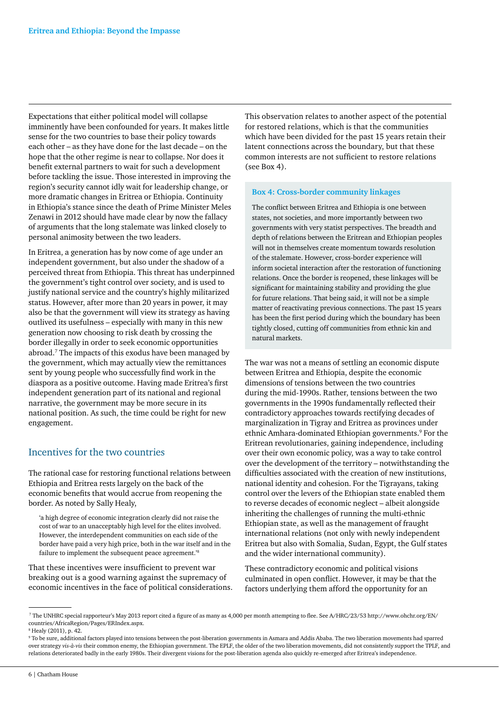Expectations that either political model will collapse imminently have been confounded for years. It makes little sense for the two countries to base their policy towards each other – as they have done for the last decade – on the hope that the other regime is near to collapse. Nor does it benefit external partners to wait for such a development before tackling the issue. Those interested in improving the region's security cannot idly wait for leadership change, or more dramatic changes in Eritrea or Ethiopia. Continuity in Ethiopia's stance since the death of Prime Minister Meles Zenawi in 2012 should have made clear by now the fallacy of arguments that the long stalemate was linked closely to personal animosity between the two leaders.

In Eritrea, a generation has by now come of age under an independent government, but also under the shadow of a perceived threat from Ethiopia. This threat has underpinned the government's tight control over society, and is used to justify national service and the country's highly militarized status. However, after more than 20 years in power, it may also be that the government will view its strategy as having outlived its usefulness – especially with many in this new generation now choosing to risk death by crossing the border illegally in order to seek economic opportunities abroad.7 The impacts of this exodus have been managed by the government, which may actually view the remittances sent by young people who successfully find work in the diaspora as a positive outcome. Having made Eritrea's first independent generation part of its national and regional narrative, the government may be more secure in its national position. As such, the time could be right for new engagement.

### Incentives for the two countries

The rational case for restoring functional relations between Ethiopia and Eritrea rests largely on the back of the economic benefits that would accrue from reopening the border. As noted by Sally Healy,

'a high degree of economic integration clearly did not raise the cost of war to an unacceptably high level for the elites involved. However, the interdependent communities on each side of the border have paid a very high price, both in the war itself and in the failure to implement the subsequent peace agreement.'8

That these incentives were insufficient to prevent war breaking out is a good warning against the supremacy of economic incentives in the face of political considerations. This observation relates to another aspect of the potential for restored relations, which is that the communities which have been divided for the past 15 years retain their latent connections across the boundary, but that these common interests are not sufficient to restore relations (see Box 4).

#### **Box 4: Cross-border community linkages**

The conflict between Eritrea and Ethiopia is one between states, not societies, and more importantly between two governments with very statist perspectives. The breadth and depth of relations between the Eritrean and Ethiopian peoples will not in themselves create momentum towards resolution of the stalemate. However, cross-border experience will inform societal interaction after the restoration of functioning relations. Once the border is reopened, these linkages will be significant for maintaining stability and providing the glue for future relations. That being said, it will not be a simple matter of reactivating previous connections. The past 15 years has been the first period during which the boundary has been tightly closed, cutting off communities from ethnic kin and natural markets.

The war was not a means of settling an economic dispute between Eritrea and Ethiopia, despite the economic dimensions of tensions between the two countries during the mid-1990s. Rather, tensions between the two governments in the 1990s fundamentally reflected their contradictory approaches towards rectifying decades of marginalization in Tigray and Eritrea as provinces under ethnic Amhara-dominated Ethiopian governments.<sup>9</sup> For the Eritrean revolutionaries, gaining independence, including over their own economic policy, was a way to take control over the development of the territory – notwithstanding the difficulties associated with the creation of new institutions, national identity and cohesion. For the Tigrayans, taking control over the levers of the Ethiopian state enabled them to reverse decades of economic neglect – albeit alongside inheriting the challenges of running the multi-ethnic Ethiopian state, as well as the management of fraught international relations (not only with newly independent Eritrea but also with Somalia, Sudan, Egypt, the Gulf states and the wider international community).

These contradictory economic and political visions culminated in open conflict. However, it may be that the factors underlying them afford the opportunity for an

 <sup>7</sup> The UNHRC special rapporteur's May 2013 report cited a figure of as many as 4,000 per month attempting to flee. See A/HRC/23/53 [http://www.ohchr.org/EN/](http://www.ohchr.org/EN/countries/AfricaRegion/Pages/ERIndex.aspx) [countries/AfricaRegion/Pages/ERIndex.aspx](http://www.ohchr.org/EN/countries/AfricaRegion/Pages/ERIndex.aspx). 8 Healy (2011), p. 42.

<sup>9</sup> To be sure, additional factors played into tensions between the post-liberation governments in Asmara and Addis Ababa. The two liberation movements had sparred over strategy *vis-à-vis* their common enemy, the Ethiopian government. The EPLF, the older of the two liberation movements, did not consistently support the TPLF, and relations deteriorated badly in the early 1980s. Their divergent visions for the post-liberation agenda also quickly re-emerged after Eritrea's independence.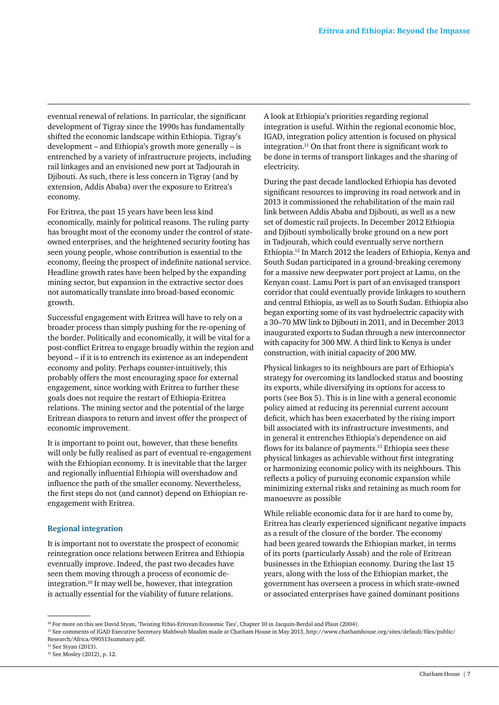eventual renewal of relations. In particular, the significant development of Tigray since the 1990s has fundamentally shifted the economic landscape within Ethiopia. Tigray's development – and Ethiopia's growth more generally – is entrenched by a variety of infrastructure projects, including rail linkages and an envisioned new port at Tadjourah in Djibouti. As such, there is less concern in Tigray (and by extension, Addis Ababa) over the exposure to Eritrea's economy.

For Eritrea, the past 15 years have been less kind economically, mainly for political reasons. The ruling party has brought most of the economy under the control of stateowned enterprises, and the heightened security footing has seen young people, whose contribution is essential to the economy, fleeing the prospect of indefinite national service. Headline growth rates have been helped by the expanding mining sector, but expansion in the extractive sector does not automatically translate into broad-based economic growth.

Successful engagement with Eritrea will have to rely on a broader process than simply pushing for the re-opening of the border. Politically and economically, it will be vital for a post-conflict Eritrea to engage broadly within the region and beyond – if it is to entrench its existence as an independent economy and polity. Perhaps counter-intuitively, this probably offers the most encouraging space for external engagement, since working with Eritrea to further these goals does not require the restart of Ethiopia-Eritrea relations. The mining sector and the potential of the large Eritrean diaspora to return and invest offer the prospect of economic improvement.

It is important to point out, however, that these benefits will only be fully realised as part of eventual re-engagement with the Ethiopian economy. It is inevitable that the larger and regionally influential Ethiopia will overshadow and influence the path of the smaller economy. Nevertheless, the first steps do not (and cannot) depend on Ethiopian reengagement with Eritrea.

#### **Regional integration**

It is important not to overstate the prospect of economic reintegration once relations between Eritrea and Ethiopia eventually improve. Indeed, the past two decades have seen them moving through a process of economic deintegration.10 It may well be, however, that integration is actually essential for the viability of future relations.

A look at Ethiopia's priorities regarding regional integration is useful. Within the regional economic bloc, IGAD, integration policy attention is focused on physical integration. $11$  On that front there is significant work to be done in terms of transport linkages and the sharing of electricity.

During the past decade landlocked Ethiopia has devoted significant resources to improving its road network and in 2013 it commissioned the rehabilitation of the main rail link between Addis Ababa and Djibouti, as well as a new set of domestic rail projects. In December 2012 Ethiopia and Djibouti symbolically broke ground on a new port in Tadjourah, which could eventually serve northern Ethiopia.12 In March 2012 the leaders of Ethiopia, Kenya and South Sudan participated in a ground-breaking ceremony for a massive new deepwater port project at Lamu, on the Kenyan coast. Lamu Port is part of an envisaged transport corridor that could eventually provide linkages to southern and central Ethiopia, as well as to South Sudan. Ethiopia also began exporting some of its vast hydroelectric capacity with a 30–70 MW link to Djibouti in 2011, and in December 2013 inaugurated exports to Sudan through a new interconnector with capacity for 300 MW. A third link to Kenya is under construction, with initial capacity of 200 MW.

Physical linkages to its neighbours are part of Ethiopia's strategy for overcoming its landlocked status and boosting its exports, while diversifying its options for access to ports (see Box 5). This is in line with a general economic policy aimed at reducing its perennial current account deficit, which has been exacerbated by the rising import bill associated with its infrastructure investments, and in general it entrenches Ethiopia's dependence on aid flows for its balance of payments.<sup>13</sup> Ethiopia sees these physical linkages as achievable without first integrating or harmonizing economic policy with its neighbours. This reflects a policy of pursuing economic expansion while minimizing external risks and retaining as much room for manoeuvre as possible

While reliable economic data for it are hard to come by, Eritrea has clearly experienced significant negative impacts as a result of the closure of the border. The economy had been geared towards the Ethiopian market, in terms of its ports (particularly Assab) and the role of Eritrean businesses in the Ethiopian economy. During the last 15 years, along with the loss of the Ethiopian market, the government has overseen a process in which state-owned or associated enterprises have gained dominant positions

11 See comments of IGAD Executive Secretary Mahboub Maalim made at Chatham House in May 2013, [http://www.chathamhouse.org/sites/default/files/public/](http://www.chathamhouse.org/sites/default/files/public/Research/Africa/090513summary.pdf) [Research/Africa/090513summary.pdf.](http://www.chathamhouse.org/sites/default/files/public/Research/Africa/090513summary.pdf)

<sup>&</sup>lt;sup>10</sup> For more on this see David Styan, 'Twisting Ethio-Eritrean Economic Ties', Chapter 10 in Jacquin-Berdal and Plaut (2004).

<sup>12</sup> See Styan (2013).

<sup>13</sup> See Mosley (2012), p. 12.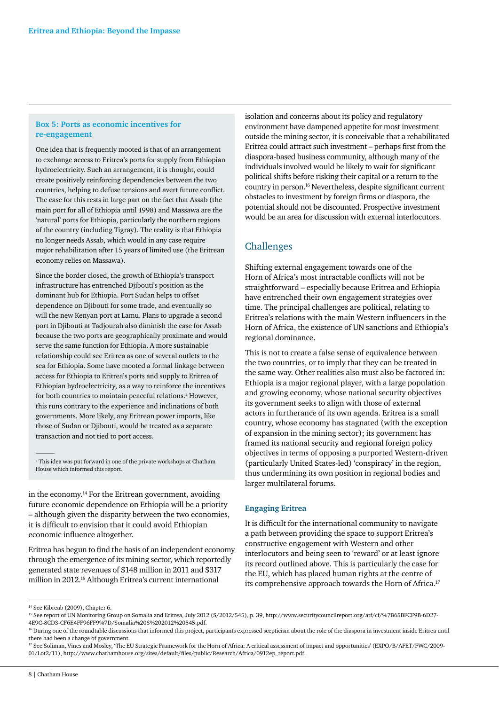#### **Box 5: Ports as economic incentives for re-engagement**

One idea that is frequently mooted is that of an arrangement to exchange access to Eritrea's ports for supply from Ethiopian hydroelectricity. Such an arrangement, it is thought, could create positively reinforcing dependencies between the two countries, helping to defuse tensions and avert future conflict. The case for this rests in large part on the fact that Assab (the main port for all of Ethiopia until 1998) and Massawa are the 'natural' ports for Ethiopia, particularly the northern regions of the country (including Tigray). The reality is that Ethiopia no longer needs Assab, which would in any case require major rehabilitation after 15 years of limited use (the Eritrean economy relies on Massawa).

Since the border closed, the growth of Ethiopia's transport infrastructure has entrenched Djibouti's position as the dominant hub for Ethiopia. Port Sudan helps to offset dependence on Djibouti for some trade, and eventually so will the new Kenyan port at Lamu. Plans to upgrade a second port in Djibouti at Tadjourah also diminish the case for Assab because the two ports are geographically proximate and would serve the same function for Ethiopia. A more sustainable relationship could see Eritrea as one of several outlets to the sea for Ethiopia. Some have mooted a formal linkage between access for Ethiopia to Eritrea's ports and supply to Eritrea of Ethiopian hydroelectricity, as a way to reinforce the incentives for both countries to maintain peaceful relations.<sup>a</sup> However, this runs contrary to the experience and inclinations of both governments. More likely, any Eritrean power imports, like those of Sudan or Djibouti, would be treated as a separate transaction and not tied to port access.

<sup>a</sup> This idea was put forward in one of the private workshops at Chatham House which informed this report.

in the economy.<sup>14</sup> For the Eritrean government, avoiding future economic dependence on Ethiopia will be a priority – although given the disparity between the two economies, it is difficult to envision that it could avoid Ethiopian economic influence altogether.

Eritrea has begun to find the basis of an independent economy through the emergence of its mining sector, which reportedly generated state revenues of \$148 million in 2011 and \$317 million in 2012.15 Although Eritrea's current international

isolation and concerns about its policy and regulatory environment have dampened appetite for most investment outside the mining sector, it is conceivable that a rehabilitated Eritrea could attract such investment – perhaps first from the diaspora-based business community, although many of the individuals involved would be likely to wait for significant political shifts before risking their capital or a return to the country in person.16 Nevertheless, despite significant current obstacles to investment by foreign firms or diaspora, the potential should not be discounted. Prospective investment would be an area for discussion with external interlocutors.

# Challenges

Shifting external engagement towards one of the Horn of Africa's most intractable conflicts will not be straightforward – especially because Eritrea and Ethiopia have entrenched their own engagement strategies over time. The principal challenges are political, relating to Eritrea's relations with the main Western influencers in the Horn of Africa, the existence of UN sanctions and Ethiopia's regional dominance.

This is not to create a false sense of equivalence between the two countries, or to imply that they can be treated in the same way. Other realities also must also be factored in: Ethiopia is a major regional player, with a large population and growing economy, whose national security objectives its government seeks to align with those of external actors in furtherance of its own agenda. Eritrea is a small country, whose economy has stagnated (with the exception of expansion in the mining sector); its government has framed its national security and regional foreign policy objectives in terms of opposing a purported Western-driven (particularly United States-led) 'conspiracy' in the region, thus undermining its own position in regional bodies and larger multilateral forums.

#### **Engaging Eritrea**

It is difficult for the international community to navigate a path between providing the space to support Eritrea's constructive engagement with Western and other interlocutors and being seen to 'reward' or at least ignore its record outlined above. This is particularly the case for the EU, which has placed human rights at the centre of its comprehensive approach towards the Horn of Africa.<sup>17</sup>

<sup>&</sup>lt;sup>14</sup> See Kibreab (2009), Chapter 6.

<sup>15</sup> See report of UN Monitoring Group on Somalia and Eritrea, July 2012 (S/2012/545), p. 39, [http://www.securitycouncilreport.org/atf/cf/](http://www.securitycouncilreport.org/atf/cf)%7B65BFCF9B-6D27-4E9C-8CD3-CF6E4FF96FF9%7D/Somalia%20S%202012%<20545.pdf>.

<sup>&</sup>lt;sup>16</sup> During one of the roundtable discussions that informed this project, participants expressed scepticism about the role of the diaspora in investment inside Eritrea until there had been a change of government.

<sup>&</sup>lt;sup>17</sup> See Soliman, Vines and Mosley, 'The EU Strategic Framework for the Horn of Africa: A critical assessment of impact and opportunities' (EXPO/B/AFET/FWC/2009-01/Lot2/11), [http://www.chathamhouse.org/sites/default/files/public/Research/Africa/0912ep\\_report.pdf.](http://www.chathamhouse.org/sites/default/files/public/Research/Africa/0912ep_report.pdf)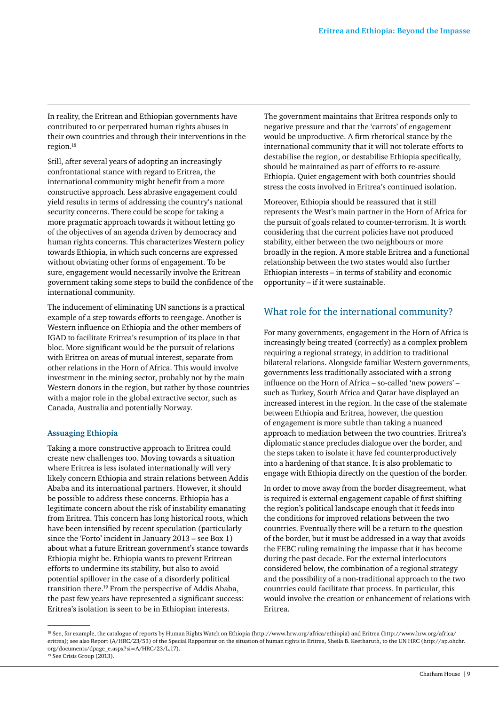In reality, the Eritrean and Ethiopian governments have contributed to or perpetrated human rights abuses in their own countries and through their interventions in the region.18

Still, after several years of adopting an increasingly confrontational stance with regard to Eritrea, the international community might benefit from a more constructive approach. Less abrasive engagement could yield results in terms of addressing the country's national security concerns. There could be scope for taking a more pragmatic approach towards it without letting go of the objectives of an agenda driven by democracy and human rights concerns. This characterizes Western policy towards Ethiopia, in which such concerns are expressed without obviating other forms of engagement. To be sure, engagement would necessarily involve the Eritrean government taking some steps to build the confidence of the international community.

The inducement of eliminating UN sanctions is a practical example of a step towards efforts to reengage. Another is Western influence on Ethiopia and the other members of IGAD to facilitate Eritrea's resumption of its place in that bloc. More significant would be the pursuit of relations with Eritrea on areas of mutual interest, separate from other relations in the Horn of Africa. This would involve investment in the mining sector, probably not by the main Western donors in the region, but rather by those countries with a major role in the global extractive sector, such as Canada, Australia and potentially Norway.

#### **Assuaging Ethiopia**

Taking a more constructive approach to Eritrea could create new challenges too. Moving towards a situation where Eritrea is less isolated internationally will very likely concern Ethiopia and strain relations between Addis Ababa and its international partners. However, it should be possible to address these concerns. Ethiopia has a legitimate concern about the risk of instability emanating from Eritrea. This concern has long historical roots, which have been intensified by recent speculation (particularly since the 'Forto' incident in January 2013 – see Box 1) about what a future Eritrean government's stance towards Ethiopia might be. Ethiopia wants to prevent Eritrean efforts to undermine its stability, but also to avoid potential spillover in the case of a disorderly political transition there.19 From the perspective of Addis Ababa, the past few years have represented a significant success: Eritrea's isolation is seen to be in Ethiopian interests.

The government maintains that Eritrea responds only to negative pressure and that the 'carrots' of engagement would be unproductive. A firm rhetorical stance by the international community that it will not tolerate efforts to destabilise the region, or destabilise Ethiopia specifically, should be maintained as part of efforts to re-assure Ethiopia. Quiet engagement with both countries should stress the costs involved in Eritrea's continued isolation.

Moreover, Ethiopia should be reassured that it still represents the West's main partner in the Horn of Africa for the pursuit of goals related to counter-terrorism. It is worth considering that the current policies have not produced stability, either between the two neighbours or more broadly in the region. A more stable Eritrea and a functional relationship between the two states would also further Ethiopian interests – in terms of stability and economic opportunity – if it were sustainable.

# What role for the international community?

For many governments, engagement in the Horn of Africa is increasingly being treated (correctly) as a complex problem requiring a regional strategy, in addition to traditional bilateral relations. Alongside familiar Western governments, governments less traditionally associated with a strong influence on the Horn of Africa – so-called 'new powers' – such as Turkey, South Africa and Qatar have displayed an increased interest in the region. In the case of the stalemate between Ethiopia and Eritrea, however, the question of engagement is more subtle than taking a nuanced approach to mediation between the two countries. Eritrea's diplomatic stance precludes dialogue over the border, and the steps taken to isolate it have fed counterproductively into a hardening of that stance. It is also problematic to engage with Ethiopia directly on the question of the border.

In order to move away from the border disagreement, what is required is external engagement capable of first shifting the region's political landscape enough that it feeds into the conditions for improved relations between the two countries. Eventually there will be a return to the question of the border, but it must be addressed in a way that avoids the EEBC ruling remaining the impasse that it has become during the past decade. For the external interlocutors considered below, the combination of a regional strategy and the possibility of a non-traditional approach to the two countries could facilitate that process. In particular, this would involve the creation or enhancement of relations with Eritrea.

<sup>18</sup> See, for example, the catalogue of reports by Human Rights Watch on Ethiopia ([http://www.hrw.org/africa/ethiopia\)](http://www.hrw.org/africa/ethiopia) and Eritrea [\(http://www.hrw.org/africa/](http://www.hrw.org/africa/eritrea) [eritrea\)](http://www.hrw.org/africa/eritrea); see also Report (A/HRC/23/53) of the Special Rapporteur on the situation of human rights in Eritrea, Sheila B. Keetharuth, to the UN HRC [\(http://ap.ohchr.](http://ap.ohchr.org/documents/dpage_e.aspx?si=A) [org/documents/dpage\\_e.aspx?si=A](http://ap.ohchr.org/documents/dpage_e.aspx?si=A)/HRC/23/L.17). <sup>19</sup> See Crisis Group (2013).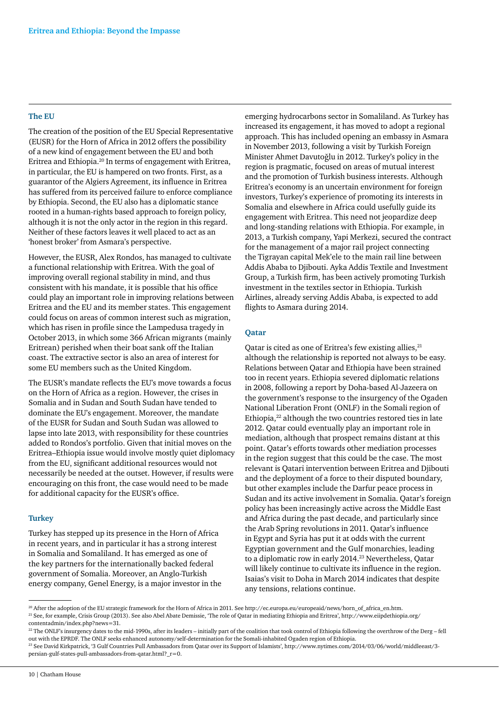#### **The EU**

The creation of the position of the EU Special Representative (EUSR) for the Horn of Africa in 2012 offers the possibility of a new kind of engagement between the EU and both Eritrea and Ethiopia.20 In terms of engagement with Eritrea, in particular, the EU is hampered on two fronts. First, as a guarantor of the Algiers Agreement, its influence in Eritrea has suffered from its perceived failure to enforce compliance by Ethiopia. Second, the EU also has a diplomatic stance rooted in a human-rights based approach to foreign policy, although it is not the only actor in the region in this regard. Neither of these factors leaves it well placed to act as an 'honest broker' from Asmara's perspective.

However, the EUSR, Alex Rondos, has managed to cultivate a functional relationship with Eritrea. With the goal of improving overall regional stability in mind, and thus consistent with his mandate, it is possible that his office could play an important role in improving relations between Eritrea and the EU and its member states. This engagement could focus on areas of common interest such as migration, which has risen in profile since the Lampedusa tragedy in October 2013, in which some 366 African migrants (mainly Eritrean) perished when their boat sank off the Italian coast. The extractive sector is also an area of interest for some EU members such as the United Kingdom.

The EUSR's mandate reflects the EU's move towards a focus on the Horn of Africa as a region. However, the crises in Somalia and in Sudan and South Sudan have tended to dominate the EU's engagement. Moreover, the mandate of the EUSR for Sudan and South Sudan was allowed to lapse into late 2013, with responsibility for these countries added to Rondos's portfolio. Given that initial moves on the Eritrea–Ethiopia issue would involve mostly quiet diplomacy from the EU, significant additional resources would not necessarily be needed at the outset. However, if results were encouraging on this front, the case would need to be made for additional capacity for the EUSR's office.

#### **Turkey**

Turkey has stepped up its presence in the Horn of Africa in recent years, and in particular it has a strong interest in Somalia and Somaliland. It has emerged as one of the key partners for the internationally backed federal government of Somalia. Moreover, an Anglo-Turkish energy company, Genel Energy, is a major investor in the emerging hydrocarbons sector in Somaliland. As Turkey has increased its engagement, it has moved to adopt a regional approach. This has included opening an embassy in Asmara in November 2013, following a visit by Turkish Foreign Minister Ahmet Davutoğlu in 2012. Turkey's policy in the region is pragmatic, focused on areas of mutual interest and the promotion of Turkish business interests. Although Eritrea's economy is an uncertain environment for foreign investors, Turkey's experience of promoting its interests in Somalia and elsewhere in Africa could usefully guide its engagement with Eritrea. This need not jeopardize deep and long-standing relations with Ethiopia. For example, in 2013, a Turkish company, Yapi Merkezi, secured the contract for the management of a major rail project connecting the Tigrayan capital Mek'ele to the main rail line between Addis Ababa to Djibouti. Ayka Addis Textile and Investment Group, a Turkish firm, has been actively promoting Turkish investment in the textiles sector in Ethiopia. Turkish Airlines, already serving Addis Ababa, is expected to add flights to Asmara during 2014.

#### **Qatar**

Qatar is cited as one of Eritrea's few existing allies, <sup>21</sup> although the relationship is reported not always to be easy. Relations between Qatar and Ethiopia have been strained too in recent years. Ethiopia severed diplomatic relations in 2008, following a report by Doha-based Al-Jazeera on the government's response to the insurgency of the Ogaden National Liberation Front (ONLF) in the Somali region of Ethiopia,<sup>22</sup> although the two countries restored ties in late 2012. Qatar could eventually play an important role in mediation, although that prospect remains distant at this point. Qatar's efforts towards other mediation processes in the region suggest that this could be the case. The most relevant is Qatari intervention between Eritrea and Djibouti and the deployment of a force to their disputed boundary, but other examples include the Darfur peace process in Sudan and its active involvement in Somalia. Qatar's foreign policy has been increasingly active across the Middle East and Africa during the past decade, and particularly since the Arab Spring revolutions in 2011. Qatar's influence in Egypt and Syria has put it at odds with the current Egyptian government and the Gulf monarchies, leading to a diplomatic row in early 2014.<sup>23</sup> Nevertheless, Qatar will likely continue to cultivate its influence in the region. Isaias's visit to Doha in March 2014 indicates that despite any tensions, relations continue.

<sup>20</sup> After the adoption of the EU strategic framework for the Horn of Africa in 2011. See [http://ec.europa.eu/europeaid/news/horn\\_of\\_africa\\_en.htm.](http://ec.europa.eu/europeaid/news/horn_of_africa_en.htm) <sup>21</sup> See, for example, Crisis Group (2013). See also Abel Abate Demissie, 'The role of Qatar in mediating Ethiopia and Eritrea', [http://www.eiipdethiopia.org/](http://www.eiipdethiopia.org/contentadmin/index.php?news=31.) [contentadmin/index.php?news=31.](http://www.eiipdethiopia.org/contentadmin/index.php?news=31.)

<sup>&</sup>lt;sup>22</sup> The ONLF's insurgency dates to the mid-1990s, after its leaders – initially part of the coalition that took control of Ethiopia following the overthrow of the Derg – fell out with the EPRDF. The ONLF seeks enhanced autonomy/self-determination for the Somali-inhabited Ogaden region of Ethiopia.

<sup>23</sup> See David Kirkpatrick, '3 Gulf Countries Pull Ambassadors from Qatar over its Support of Islamists', [http://www.nytimes.com/2014/03/06/world/middleeast/3](http://www.nytimes.com/2014/03/06/world/middleeast/3-persian-gulf-states-pull-ambassadors-from-qatar.html?_r=0.) [persian-gulf-states-pull-ambassadors-from-qatar.html?\\_r=0.](http://www.nytimes.com/2014/03/06/world/middleeast/3-persian-gulf-states-pull-ambassadors-from-qatar.html?_r=0.)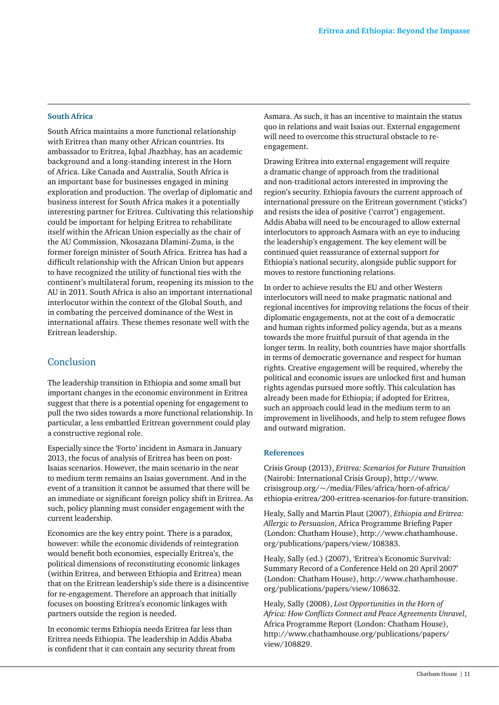#### **South Africa**

South Africa maintains a more functional relationship with Eritrea than many other African countries. Its ambassador to Eritrea, Iqbal Jhazbhay, has an academic background and a long-standing interest in the Horn of Africa. Like Canada and Australia, South Africa is an important base for businesses engaged in mining exploration and production. The overlap of diplomatic and business interest for South Africa makes it a potentially interesting partner for Eritrea. Cultivating this relationship could be important for helping Eritrea to rehabilitate itself within the African Union especially as the chair of the AU Commission, Nkosazana Dlamini-Zuma, is the former foreign minister of South Africa. Eritrea has had a difficult relationship with the African Union but appears to have recognized the utility of functional ties with the continent's multilateral forum, reopening its mission to the AU in 2011. South Africa is also an important international interlocutor within the context of the Global South, and in combating the perceived dominance of the West in international affairs. These themes resonate well with the Eritrean leadership.

# Conclusion

The leadership transition in Ethiopia and some small but important changes in the economic environment in Eritrea suggest that there is a potential opening for engagement to pull the two sides towards a more functional relationship. In particular, a less embattled Eritrean government could play a constructive regional role.

Especially since the 'Forto' incident in Asmara in January 2013, the focus of analysis of Eritrea has been on post-Isaias scenarios. However, the main scenario in the near to medium term remains an Isaias government. And in the event of a transition it cannot be assumed that there will be an immediate or significant foreign policy shift in Eritrea. As such, policy planning must consider engagement with the current leadership.

Economics are the key entry point. There is a paradox, however: while the economic dividends of reintegration would benefit both economies, especially Eritrea's, the political dimensions of reconstituting economic linkages (within Eritrea, and between Ethiopia and Eritrea) mean that on the Eritrean leadership's side there is a disincentive for re-engagement. Therefore an approach that initially focuses on boosting Eritrea's economic linkages with partners outside the region is needed.

In economic terms Ethiopia needs Eritrea far less than Eritrea needs Ethiopia. The leadership in Addis Ababa is confident that it can contain any security threat from Asmara. As such, it has an incentive to maintain the status quo in relations and wait Isaias out. External engagement will need to overcome this structural obstacle to reengagement.

Drawing Eritrea into external engagement will require a dramatic change of approach from the traditional and non-traditional actors interested in improving the region's security. Ethiopia favours the current approach of international pressure on the Eritrean government ('sticks') and resists the idea of positive ('carrot') engagement. Addis Ababa will need to be encouraged to allow external interlocutors to approach Asmara with an eye to inducing the leadership's engagement. The key element will be continued quiet reassurance of external support for Ethiopia's national security, alongside public support for moves to restore functioning relations.

In order to achieve results the EU and other Western interlocutors will need to make pragmatic national and regional incentives for improving relations the focus of their diplomatic engagements, not at the cost of a democratic and human rights informed policy agenda, but as a means towards the more fruitful pursuit of that agenda in the longer term. In reality, both countries have major shortfalls in terms of democratic governance and respect for human rights. Creative engagement will be required, whereby the political and economic issues are unlocked first and human rights agendas pursued more softly. This calculation has already been made for Ethiopia; if adopted for Eritrea, such an approach could lead in the medium term to an improvement in livelihoods, and help to stem refugee flows and outward migration.

#### **References**

Crisis Group (2013), *Eritrea: Scenarios for Future Transition*  (Nairobi: International Crisis Group), [http://www.](http://www.crisisgroup.org/~/media/Files/africa/horn-of-africa/ethiopia-eritrea/200-eritrea-scenarios-for-future-transition) [crisisgroup.org/~/media/Files/africa/horn-of-africa/](http://www.crisisgroup.org/~/media/Files/africa/horn-of-africa/ethiopia-eritrea/200-eritrea-scenarios-for-future-transition) [ethiopia-eritrea/200-eritrea-scenarios-for-future-transition.](http://www.crisisgroup.org/~/media/Files/africa/horn-of-africa/ethiopia-eritrea/200-eritrea-scenarios-for-future-transition)

Healy, Sally and Martin Plaut (2007), *Ethiopia and Eritrea: Allergic to Persuasion*, Africa Programme Briefing Paper (London: Chatham House), [http://www.chathamhouse.](http://www.chathamhouse.org/publications/papers/view/108383) [org/publications/papers/view/108383](http://www.chathamhouse.org/publications/papers/view/108383).

Healy, Sally (ed.) (2007), 'Eritrea's Economic Survival: Summary Record of a Conference Held on 20 April 2007' (London: Chatham House), [http://www.chathamhouse.](http://www.chathamhouse.org/publications/papers/view/108632) [org/publications/papers/view/108632](http://www.chathamhouse.org/publications/papers/view/108632).

Healy, Sally (2008), *Lost Opportunities in the Horn of Africa: How Conflicts Connect and Peace Agreements Unravel*, Africa Programme Report (London: Chatham House), [http://www.chathamhouse.org/publications/papers/](http://www.chathamhouse.org/publications/papers/view/108829) [view/108829](http://www.chathamhouse.org/publications/papers/view/108829).